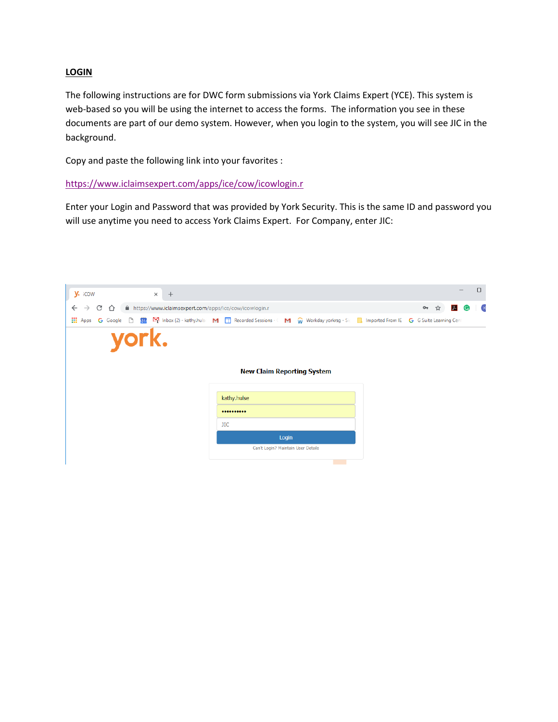## **LOGIN**

The following instructions are for DWC form submissions via York Claims Expert (YCE). This system is web-based so you will be using the internet to access the forms. The information you see in these documents are part of our demo system. However, when you login to the system, you will see JIC in the background.

Copy and paste the following link into your favorites :

https://www.iclaimsexpert.com/apps/ice/cow/icowlogin.r

Enter your Login and Password that was provided by York Security. This is the same ID and password you will use anytime you need to access York Claims Expert. For Company, enter JIC:

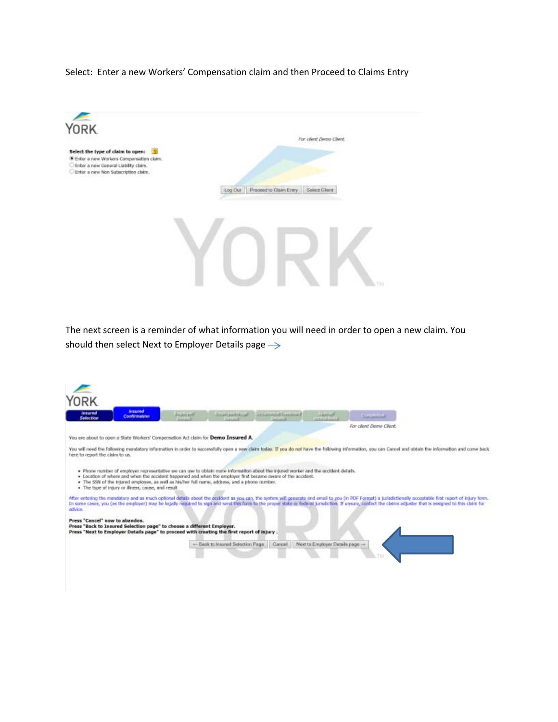### Select: Enter a new Workers' Compensation claim and then Proceed to Claims Entry



The next screen is a reminder of what information you will need in order to open a new claim. You should then select Next to Employer Details page  $\rightarrow$ 

| <b>insured</b><br><b>Insured</b><br>Confirmation<br><b>Seiection</b>                                                                                                                                                                                                                                                                                                                                                                       | <b>JAWAN</b><br><b>BALLAS ANALLAS</b> | <b>Continental Programment</b><br><b>HEATHER</b> | in de la maria de la maria de la maria de la maria de la maria de la maria de la maria de la maria de la maria<br>La maria de la maria de la maria de la maria de la maria de la maria de la maria de la maria de la maria de la | <b>Competitiv</b>       |  |
|--------------------------------------------------------------------------------------------------------------------------------------------------------------------------------------------------------------------------------------------------------------------------------------------------------------------------------------------------------------------------------------------------------------------------------------------|---------------------------------------|--------------------------------------------------|----------------------------------------------------------------------------------------------------------------------------------------------------------------------------------------------------------------------------------|-------------------------|--|
|                                                                                                                                                                                                                                                                                                                                                                                                                                            |                                       |                                                  |                                                                                                                                                                                                                                  | For client Demo Client. |  |
| You are about to open a State Workers' Compensation Act claim for Demo Insured A.                                                                                                                                                                                                                                                                                                                                                          |                                       |                                                  |                                                                                                                                                                                                                                  |                         |  |
| You will need the following mandatory information in order to successfully open a new claim today. If you do not have the following information, you can Cancel and obtain the information and come back<br>here to report the claim to us.                                                                                                                                                                                                |                                       |                                                  |                                                                                                                                                                                                                                  |                         |  |
| . Phone number of employer representative we can use to obtain more information about the injured worker and the accident details.<br>. Location of where and when the accident happened and when the employer first became aware of the accident.<br>. The SSN of the intured employee, as well as his/her full name, address, and a phone number.<br>. The type of Intury or Illness, cause, and result.                                 |                                       |                                                  |                                                                                                                                                                                                                                  |                         |  |
| After entering the mandatory and as much optional details about the accident as you can, the system will generate and email to you (in PDF Format) a jurisdictionally acceptable first report of injury form.<br>In some cases, you (as the employer) may be legally required to sign and send this form to the procer state or federal jurisdiction. If unsure, contact the claims adjuster that is assigned to this claim for<br>advice. |                                       |                                                  |                                                                                                                                                                                                                                  |                         |  |
| Press "Cancel" now to abandon.<br>Press "Back to Insured Selection page" to choose a different Employer.<br>Press "Next to Employer Details page" to proceed with creating the first report of injury.                                                                                                                                                                                                                                     |                                       |                                                  |                                                                                                                                                                                                                                  |                         |  |
|                                                                                                                                                                                                                                                                                                                                                                                                                                            | - Back to Insured Selection Page      | Cancell                                          | Next to Employer Details page -                                                                                                                                                                                                  |                         |  |
|                                                                                                                                                                                                                                                                                                                                                                                                                                            |                                       |                                                  |                                                                                                                                                                                                                                  |                         |  |
|                                                                                                                                                                                                                                                                                                                                                                                                                                            |                                       |                                                  |                                                                                                                                                                                                                                  |                         |  |
|                                                                                                                                                                                                                                                                                                                                                                                                                                            |                                       |                                                  |                                                                                                                                                                                                                                  |                         |  |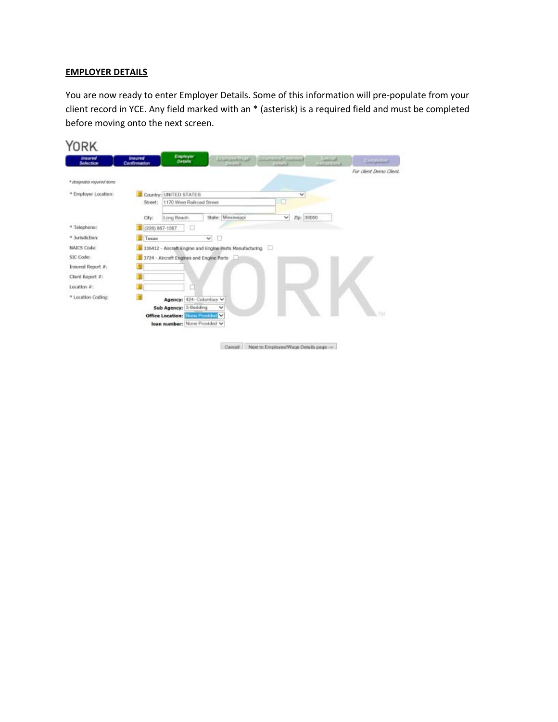### **EMPLOYER DETAILS**

You are now ready to enter Employer Details. Some of this information will pre‐populate from your client record in YCE. Any field marked with an \* (asterisk) is a required field and must be completed before moving onto the next screen.

| <b>Insured</b><br><b>Selection</b> | <b>Insured</b><br>Confirmation | Employer<br><b>Details</b>       |                                                         | <b>Environment Countries To Marine</b> | <b><i><u>EMENT</u></i></b> | Competitive             |
|------------------------------------|--------------------------------|----------------------------------|---------------------------------------------------------|----------------------------------------|----------------------------|-------------------------|
|                                    |                                |                                  |                                                         |                                        |                            | For client Demo Client. |
| * designates required items        |                                |                                  |                                                         |                                        |                            |                         |
| * Employer Location:               |                                | Country: UNITED STATES           |                                                         | v                                      |                            |                         |
|                                    | Street:                        | 1170 West Railroad Street        |                                                         | o                                      |                            |                         |
|                                    | City:                          | Long Beach                       | State: Mississippi                                      | v<br>Zip: 39560                        |                            |                         |
| * Telephone:                       | 1 (228) 867-1367               | □                                |                                                         |                                        |                            |                         |
| * Jurisdiction:                    | To Taiwana                     |                                  | O<br>v.                                                 |                                        |                            |                         |
| NAICS Code:                        |                                |                                  | 336412 - Aircraft Engine and Engine Parts Manufacturing |                                        |                            |                         |
| SIC Code:                          |                                |                                  | V 3724 - Aircraft Engines and Engine Parts              |                                        |                            |                         |
| Insured Report #:                  |                                |                                  |                                                         |                                        |                            |                         |
| Client Report #:                   |                                |                                  |                                                         |                                        |                            |                         |
| Location $\#$ :                    |                                | ш                                |                                                         |                                        |                            |                         |
| * Location Coding:                 | B                              | Agency: 424- Columbus V          |                                                         |                                        |                            |                         |
|                                    |                                | Sub Agency: 3-Bedding            | v                                                       |                                        |                            |                         |
|                                    |                                | Office Location: None Provided V |                                                         |                                        |                            | TN.                     |

Cancel Next to Employee/Wage Details page -+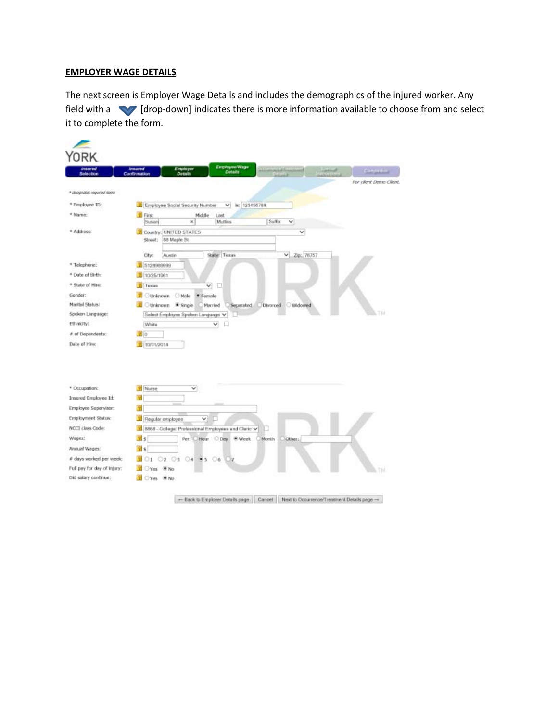# **EMPLOYER WAGE DETAILS**

The next screen is Employer Wage Details and includes the demographics of the injured worker. Any field with a **V** [drop-down] indicates there is more information available to choose from and select it to complete the form.

| Selection                                                                                                                   | EmployeeWage<br><b>Imsured</b><br>Employer<br>Details<br><b>centing</b><br>Confirmation | <b>Constative</b>       |
|-----------------------------------------------------------------------------------------------------------------------------|-----------------------------------------------------------------------------------------|-------------------------|
|                                                                                                                             |                                                                                         | For client Demo Client. |
| * disappates required items                                                                                                 |                                                                                         |                         |
| * Employee ID:                                                                                                              | Employee Social Security Number<br>ls: 123456789<br>$\checkmark$                        |                         |
| * Name:                                                                                                                     | <b>M</b> First<br>Middle<br>Last                                                        |                         |
|                                                                                                                             | Suffix<br>v<br>Susan<br>Mullins<br>×                                                    |                         |
| * Address:                                                                                                                  | Country: UNITED STATES<br>v<br>88 Maple St<br>Street:                                   |                         |
|                                                                                                                             |                                                                                         |                         |
|                                                                                                                             | $\vee$ Zipc 78757<br>State: Texas<br>Austin<br>City:                                    |                         |
| * Telephone:                                                                                                                | 5128989999                                                                              |                         |
| * Date of Birth:                                                                                                            | W 10/25/1961                                                                            |                         |
| * State of Hire:                                                                                                            | o<br>Tuxas<br>v                                                                         |                         |
| Gender:                                                                                                                     | Cunknown C Male<br>* Female                                                             |                         |
| Marital Status:                                                                                                             | Unknown # Single<br>Widowed<br>Married<br>Separated<br>Divorced                         |                         |
| Spoken Language:                                                                                                            | Select Employee Spoken Language V                                                       | tы                      |
|                                                                                                                             |                                                                                         |                         |
|                                                                                                                             | White<br>v                                                                              |                         |
|                                                                                                                             | 面。                                                                                      |                         |
| Ethnicity:<br># of Dependents:<br>Date of Hire:                                                                             | 10/01/2014                                                                              |                         |
|                                                                                                                             |                                                                                         |                         |
| * Occupation:                                                                                                               | <b>B</b> Nurse<br>v                                                                     |                         |
| Insured Employee Id:                                                                                                        |                                                                                         |                         |
| Employee Supervisor:                                                                                                        |                                                                                         |                         |
|                                                                                                                             | ◡<br>Regular employee                                                                   |                         |
|                                                                                                                             | V 8868 - College: Professional Employees and Cleric V                                   |                         |
|                                                                                                                             | 25<br>Per: Hour Day<br>Other:<br>Week<br>Month                                          |                         |
|                                                                                                                             | $\frac{1}{2}$ s                                                                         |                         |
| Employment Status:<br>NCCI class Code:<br>Wages:<br>Annual Wages:<br># days worked per week:<br>Full pay for day of injury: | 01 02 03 04 95 06<br>m<br>Yes * No                                                      | ТN                      |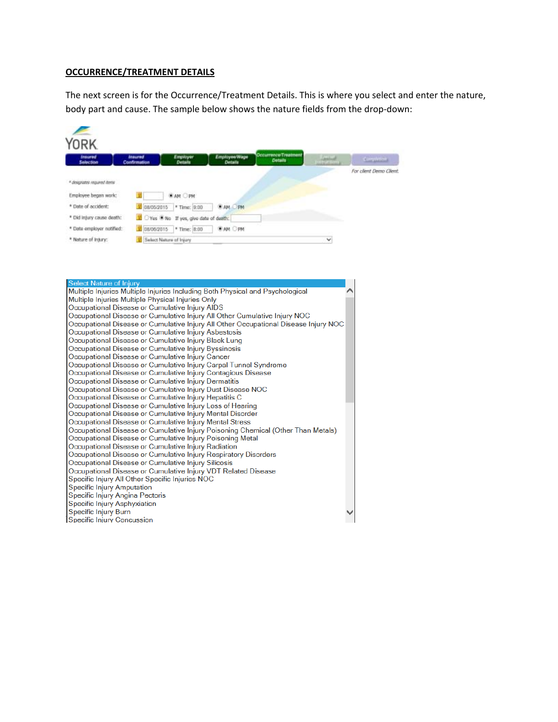# **OCCURRENCE/TREATMENT DETAILS**

The next screen is for the Occurrence/Treatment Details. This is where you select and enter the nature, body part and cause. The sample below shows the nature fields from the drop-down:

| <b>YORK</b><br><b>Insured</b>                       | <b>Insured</b> | Employer                            | Employee/Wage  | Occurrence/Treatment |                                     |                         |
|-----------------------------------------------------|----------------|-------------------------------------|----------------|----------------------|-------------------------------------|-------------------------|
| Selection                                           | Confirmation   | <b>Details</b>                      | Details        | <b>Details</b>       | <b>Section</b><br><b>DISPERSION</b> | <b>Completion</b>       |
| * designates required items<br>Employee began work: |                | <b>WAN OPM</b>                      |                |                      |                                     | For client Demo Client. |
| * Date of accident:                                 | 208/05/2015    | * Time: 0:00                        | <b>EAM OPM</b> |                      |                                     |                         |
| * Did injury cause death:                           |                | Yes Who If yes, give date of death: |                |                      |                                     |                         |
| * Data employer notified:                           | 1 08/06/2015   | * Time: 8:00                        | <b>EAM OPM</b> |                      |                                     |                         |
| * Nature of Injury:                                 |                | Select Nature of Injury             |                |                      | v                                   |                         |

| <b>Select Nature of Injury</b>                                                      |  |
|-------------------------------------------------------------------------------------|--|
| Multiple Injuries Multiple Injuries Including Both Physical and Psychological       |  |
| Multiple Injuries Multiple Physical Injuries Only                                   |  |
| Occupational Disease or Cumulative Injury AIDS                                      |  |
| Occupational Disease or Cumulative Injury All Other Cumulative Injury NOC           |  |
| Occupational Disease or Cumulative Injury All Other Occupational Disease Injury NOC |  |
| Occupational Disease or Cumulative Injury Asbestosis                                |  |
| Occupational Disease or Cumulative Injury Black Lung                                |  |
| Occupational Disease or Cumulative Injury Byssinosis                                |  |
| Occupational Disease or Cumulative Injury Cancer                                    |  |
| Occupational Disease or Cumulative Injury Carpal Tunnel Syndrome                    |  |
| Occupational Disease or Cumulative Injury Contagious Disease                        |  |
| Occupational Disease or Cumulative Injury Dermatitis                                |  |
| Occupational Disease or Cumulative Injury Dust Disease NOC                          |  |
| Occupational Disease or Cumulative Injury Hepatitis C                               |  |
| Occupational Disease or Cumulative Injury Loss of Hearing                           |  |
| Occupational Disease or Cumulative Injury Mental Disorder                           |  |
| Occupational Disease or Cumulative Injury Mental Stress                             |  |
| Occupational Disease or Cumulative Injury Poisoning Chemical (Other Than Metals)    |  |
| Occupational Disease or Cumulative Injury Poisoning Metal                           |  |
| Occupational Disease or Cumulative Injury Radiation                                 |  |
| Occupational Disease or Cumulative Injury Respiratory Disorders                     |  |
| Occupational Disease or Cumulative Injury Silicosis                                 |  |
| Occupational Disease or Cumulative Injury VDT Related Disease                       |  |
| Specific Injury All Other Specific Injuries NOC                                     |  |
| <b>Specific Injury Amputation</b>                                                   |  |
| Specific Injury Angina Pectoris                                                     |  |
| Specific Injury Asphyxiation                                                        |  |
| Specific Injury Burn                                                                |  |
| Specific Injury Concussion                                                          |  |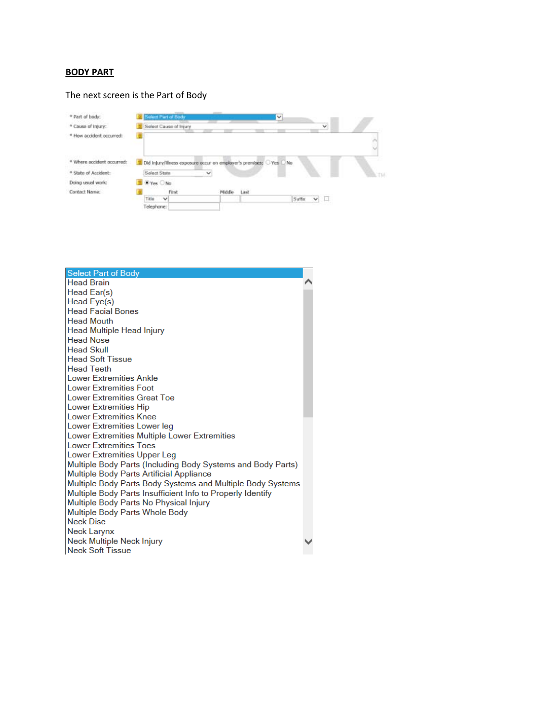## **BODY PART**

#### The next screen is the Part of Body



| <b>Select Part of Body</b>                                  |  |
|-------------------------------------------------------------|--|
| <b>Head Brain</b>                                           |  |
| Head Ear(s)                                                 |  |
| Head Eye(s)                                                 |  |
| <b>Head Facial Bones</b>                                    |  |
| <b>Head Mouth</b>                                           |  |
| Head Multiple Head Injury                                   |  |
| <b>Head Nose</b>                                            |  |
| <b>Head Skull</b>                                           |  |
| <b>Head Soft Tissue</b>                                     |  |
| <b>Head Teeth</b>                                           |  |
| Lower Extremities Ankle                                     |  |
| Lower Extremities Foot                                      |  |
| Lower Extremities Great Toe                                 |  |
| <b>Lower Extremities Hip</b>                                |  |
| <b>Lower Extremities Knee</b>                               |  |
| Lower Extremities Lower leg                                 |  |
| Lower Extremities Multiple Lower Extremities                |  |
| <b>Lower Extremities Toes</b>                               |  |
| Lower Extremities Upper Leg                                 |  |
| Multiple Body Parts (Including Body Systems and Body Parts) |  |
| Multiple Body Parts Artificial Appliance                    |  |
| Multiple Body Parts Body Systems and Multiple Body Systems  |  |
| Multiple Body Parts Insufficient Info to Properly Identify  |  |
| Multiple Body Parts No Physical Injury                      |  |
| Multiple Body Parts Whole Body                              |  |
| <b>Neck Disc</b>                                            |  |
| Neck Larynx                                                 |  |
| Neck Multiple Neck Injury                                   |  |
| <b>Neck Soft Tissue</b>                                     |  |
|                                                             |  |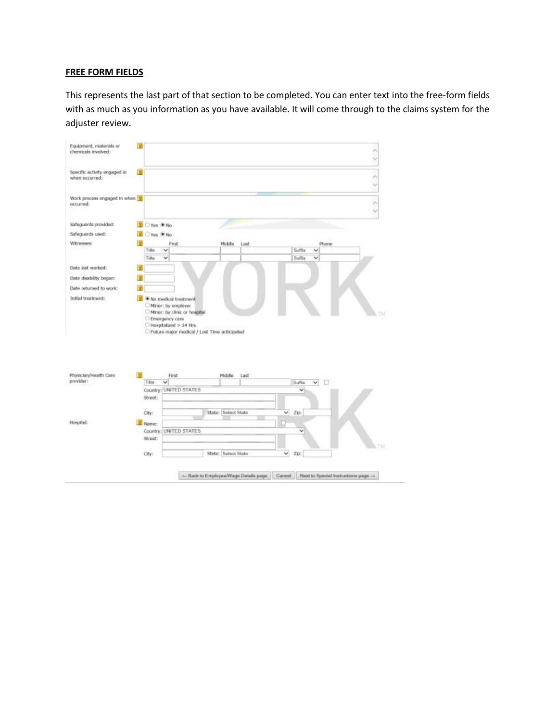### **FREE FORM FIELDS**

This represents the last part of that section to be completed. You can enter text into the free‐form fields with as much as you information as you have available. It will come through to the claims system for the adjuster review.